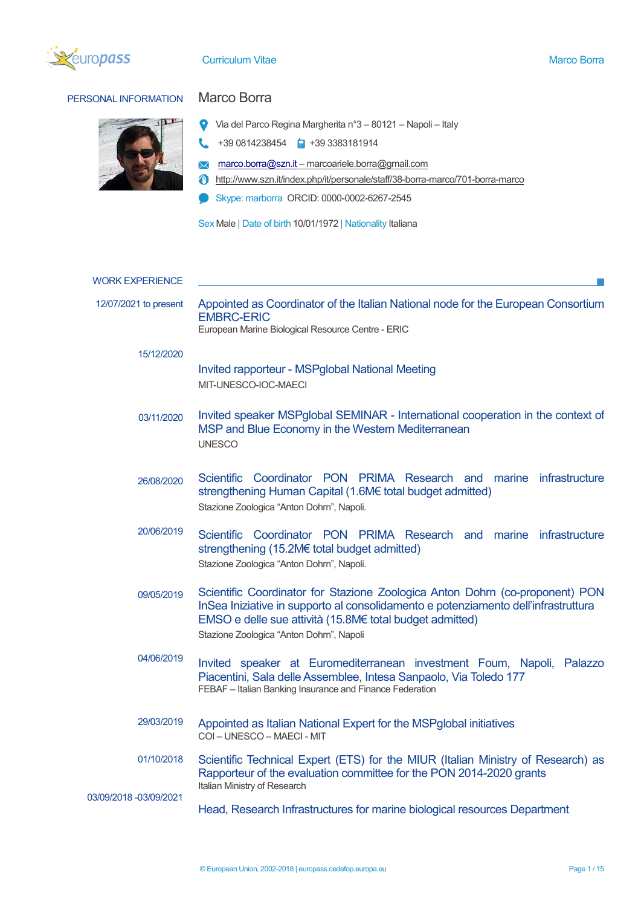

# PERSONAL INFORMATION Marco Borra



- Via del Parco Regina Margherita n°3 80121 Napoli Italy
- $\begin{array}{ccc} \bullet\end{array}$  +39 0814238454  $\begin{array}{ccc} \bullet\end{array}$  +39 3383181914
- **X** [marco.borra@szn.it](mailto:marco.borra@szn.it) marcoariele.borra@gmail.com
- http://www.szn.it/index.php/it/personale/staff/38-borra-marco/701-borra-marco
- Skype: marborra ORCID: 0000-0002-6267-2545

Sex Male | Date of birth 10/01/1972 | Nationality Italiana

| <b>WORK EXPERIENCE</b> |                                                                                                                                                                                                                                                                            |
|------------------------|----------------------------------------------------------------------------------------------------------------------------------------------------------------------------------------------------------------------------------------------------------------------------|
| 12/07/2021 to present  | Appointed as Coordinator of the Italian National node for the European Consortium<br><b>EMBRC-ERIC</b><br>European Marine Biological Resource Centre - ERIC                                                                                                                |
| 15/12/2020             | <b>Invited rapporteur - MSPglobal National Meeting</b><br>MIT-UNESCO-IOC-MAECI                                                                                                                                                                                             |
| 03/11/2020             | Invited speaker MSPglobal SEMINAR - International cooperation in the context of<br>MSP and Blue Economy in the Western Mediterranean<br><b>UNESCO</b>                                                                                                                      |
| 26/08/2020             | Scientific Coordinator PON PRIMA Research and<br>marine infrastructure<br>strengthening Human Capital (1.6M€ total budget admitted)<br>Stazione Zoologica "Anton Dohrn", Napoli.                                                                                           |
| 20/06/2019             | Scientific Coordinator PON PRIMA Research and marine infrastructure<br>strengthening (15.2M€ total budget admitted)<br>Stazione Zoologica "Anton Dohrn", Napoli.                                                                                                           |
| 09/05/2019             | Scientific Coordinator for Stazione Zoologica Anton Dohrn (co-proponent) PON<br>InSea Iniziative in supporto al consolidamento e potenziamento dell'infrastruttura<br>EMSO e delle sue attività (15.8M€ total budget admitted)<br>Stazione Zoologica "Anton Dohrn", Napoli |
| 04/06/2019             | Invited speaker at Euromediterranean investment Foum, Napoli, Palazzo<br>Piacentini, Sala delle Assemblee, Intesa Sanpaolo, Via Toledo 177<br>FEBAF - Italian Banking Insurance and Finance Federation                                                                     |
| 29/03/2019             | Appointed as Italian National Expert for the MSPglobal initiatives<br>COI - UNESCO - MAECI - MIT                                                                                                                                                                           |
| 01/10/2018             | Scientific Technical Expert (ETS) for the MIUR (Italian Ministry of Research) as<br>Rapporteur of the evaluation committee for the PON 2014-2020 grants<br>Italian Ministry of Research                                                                                    |
| 03/09/2018 -03/09/2021 | Head, Research Infrastructures for marine biological resources Department                                                                                                                                                                                                  |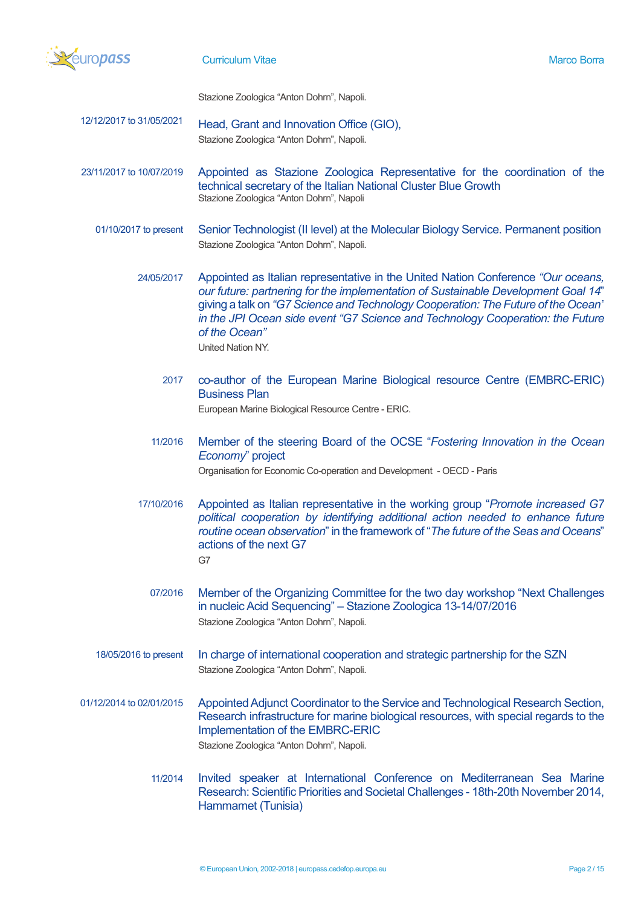

Stazione Zoologica "Anton Dohrn", Napoli.

- 12/12/2017 to 31/05/2021 Head, Grant and Innovation Office (GIO), Stazione Zoologica "Anton Dohrn", Napoli.
- 23/11/2017 to 10/07/2019 Appointed as Stazione Zoologica Representative for the coordination of the technical secretary of the Italian National Cluster Blue Growth Stazione Zoologica "Anton Dohrn", Napoli
	- 01/10/2017 to present Senior Technologist (II level) at the Molecular Biology Service. Permanent position Stazione Zoologica "Anton Dohrn", Napoli.
		- 24/05/2017 Appointed as Italian representative in the United Nation Conference *"Our oceans, our future: partnering for the implementation of Sustainable Development Goal 14*" giving a talk on *"G7 Science and Technology Cooperation: The Future of the Ocean" in the JPI Ocean side event "G7 Science and Technology Cooperation: the Future of the Ocean"* United Nation NY.
			- 2017 co-author of the European Marine Biological resource Centre (EMBRC-ERIC) Business Plan European Marine Biological Resource Centre - ERIC.
			- 11/2016 Member of the steering Board of the OCSE "*Fostering Innovation in the Ocean Economy*" project Organisation for Economic Co-operation and Development - OECD - Paris
		- 17/10/2016 Appointed as Italian representative in the working group "*Promote increased G7 political cooperation by identifying additional action needed to enhance future routine ocean observation*" in the framework of "*The future of the Seas and Oceans*" actions of the next G7 G7
			- 07/2016 Member of the Organizing Committee for the two day workshop "Next Challenges in nucleic Acid Sequencing" – Stazione Zoologica 13-14/07/2016 Stazione Zoologica "Anton Dohrn", Napoli.
	- 18/05/2016 to present In charge of international cooperation and strategic partnership for the SZN Stazione Zoologica "Anton Dohrn", Napoli.
- 01/12/2014 to 02/01/2015 Appointed Adjunct Coordinator to the Service and Technological Research Section, Research infrastructure for marine biological resources, with special regards to the Implementation of the EMBRC-ERIC Stazione Zoologica "Anton Dohrn", Napoli.
	- 11/2014 Invited speaker at International Conference on Mediterranean Sea Marine Research: Scientific Priorities and Societal Challenges - 18th-20th November 2014, Hammamet (Tunisia)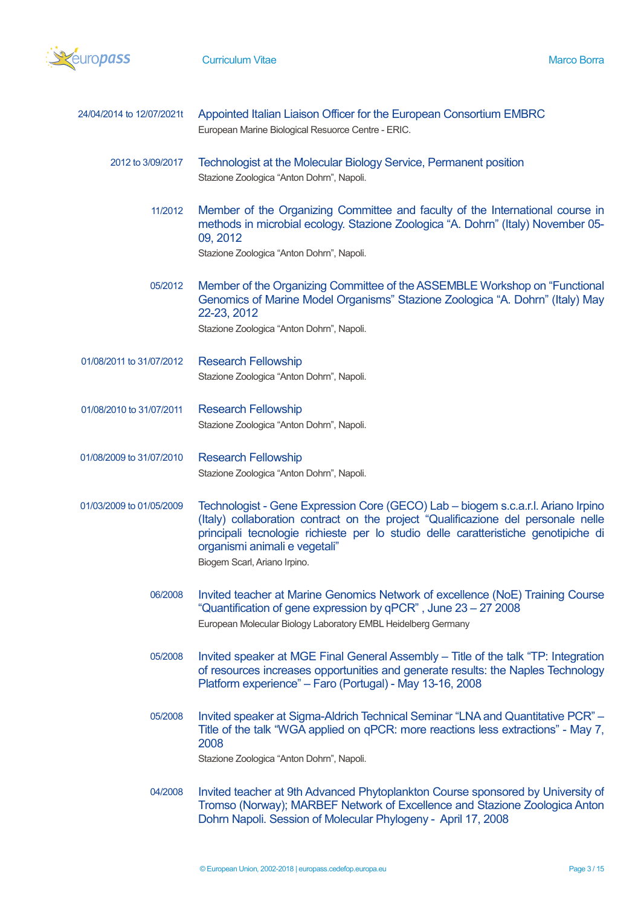

| 24/04/2014 to 12/07/2021t | Appointed Italian Liaison Officer for the European Consortium EMBRC<br>European Marine Biological Resuorce Centre - ERIC.                                                                                                                                                                                                    |
|---------------------------|------------------------------------------------------------------------------------------------------------------------------------------------------------------------------------------------------------------------------------------------------------------------------------------------------------------------------|
| 2012 to 3/09/2017         | Technologist at the Molecular Biology Service, Permanent position<br>Stazione Zoologica "Anton Dohrn", Napoli.                                                                                                                                                                                                               |
| 11/2012                   | Member of the Organizing Committee and faculty of the International course in<br>methods in microbial ecology. Stazione Zoologica "A. Dohrn" (Italy) November 05-<br>09, 2012<br>Stazione Zoologica "Anton Dohrn", Napoli.                                                                                                   |
| 05/2012                   | Member of the Organizing Committee of the ASSEMBLE Workshop on "Functional<br>Genomics of Marine Model Organisms" Stazione Zoologica "A. Dohrn" (Italy) May<br>22-23, 2012<br>Stazione Zoologica "Anton Dohrn", Napoli.                                                                                                      |
| 01/08/2011 to 31/07/2012  | <b>Research Fellowship</b><br>Stazione Zoologica "Anton Dohrn", Napoli.                                                                                                                                                                                                                                                      |
| 01/08/2010 to 31/07/2011  | <b>Research Fellowship</b><br>Stazione Zoologica "Anton Dohrn", Napoli.                                                                                                                                                                                                                                                      |
| 01/08/2009 to 31/07/2010  | <b>Research Fellowship</b><br>Stazione Zoologica "Anton Dohrn", Napoli.                                                                                                                                                                                                                                                      |
| 01/03/2009 to 01/05/2009  | Technologist - Gene Expression Core (GECO) Lab - biogem s.c.a.r.l. Ariano Irpino<br>(Italy) collaboration contract on the project "Qualificazione del personale nelle<br>principali tecnologie richieste per lo studio delle caratteristiche genotipiche di<br>organismi animali e vegetali"<br>Biogem Scarl, Ariano Irpino. |
| 06/2008                   | Invited teacher at Marine Genomics Network of excellence (NoE) Training Course<br>"Quantification of gene expression by qPCR", June 23 - 27 2008<br>European Molecular Biology Laboratory EMBL Heidelberg Germany                                                                                                            |
| 05/2008                   | Invited speaker at MGE Final General Assembly - Title of the talk "TP: Integration<br>of resources increases opportunities and generate results: the Naples Technology<br>Platform experience" - Faro (Portugal) - May 13-16, 2008                                                                                           |
| 05/2008                   | Invited speaker at Sigma-Aldrich Technical Seminar "LNA and Quantitative PCR" -<br>Title of the talk "WGA applied on qPCR: more reactions less extractions" - May 7,<br>2008<br>Stazione Zoologica "Anton Dohrn", Napoli.                                                                                                    |
| 04/2008                   | Invited teacher at 9th Advanced Phytoplankton Course sponsored by University of<br>Tromso (Norway); MARBEF Network of Excellence and Stazione Zoologica Anton<br>Dohrn Napoli. Session of Molecular Phylogeny - April 17, 2008                                                                                               |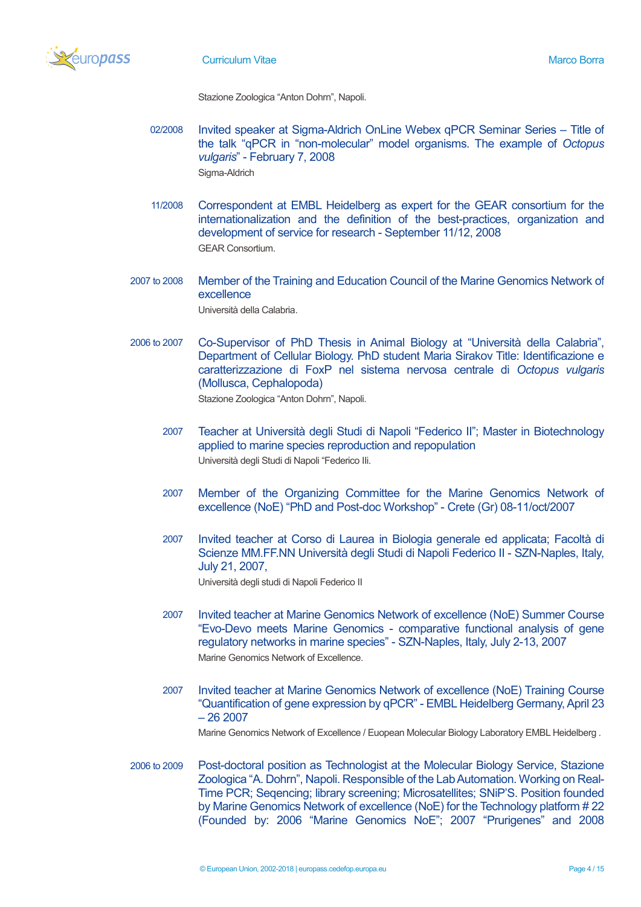

Stazione Zoologica "Anton Dohrn", Napoli.

- 02/2008 Invited speaker at Sigma-Aldrich OnLine Webex qPCR Seminar Series Title of the talk "qPCR in "non-molecular" model organisms. The example of *Octopus vulgaris*" - February 7, 2008 Sigma-Aldrich
- 11/2008 Correspondent at EMBL Heidelberg as expert for the GEAR consortium for the internationalization and the definition of the best-practices, organization and development of service for research - September 11/12, 2008 GEAR Consortium.
- 2007 to 2008 Member of the Training and Education Council of the Marine Genomics Network of excellence Università della Calabria.
- 2006 to 2007 Co-Supervisor of PhD Thesis in Animal Biology at "Università della Calabria", Department of Cellular Biology. PhD student Maria Sirakov Title: Identificazione e caratterizzazione di FoxP nel sistema nervosa centrale di *Octopus vulgaris* (Mollusca, Cephalopoda) Stazione Zoologica "Anton Dohrn", Napoli.
	- 2007 Teacher at Università degli Studi di Napoli "Federico II"; Master in Biotechnology applied to marine species reproduction and repopulation Università degli Studi di Napoli "Federico IIi.
	- 2007 Member of the Organizing Committee for the Marine Genomics Network of excellence (NoE) "PhD and Post-doc Workshop" - Crete (Gr) 08-11/oct/2007
	- 2007 Invited teacher at Corso di Laurea in Biologia generale ed applicata; Facoltà di Scienze MM.FF.NN Università degli Studi di Napoli Federico II - SZN-Naples, Italy, July 21, 2007, Università degli studi di Napoli Federico II
	- 2007 Invited teacher at Marine Genomics Network of excellence (NoE) Summer Course "Evo-Devo meets Marine Genomics - comparative functional analysis of gene regulatory networks in marine species" - SZN-Naples, Italy, July 2-13, 2007 Marine Genomics Network of Excellence.
	- 2007 Invited teacher at Marine Genomics Network of excellence (NoE) Training Course "Quantification of gene expression by qPCR" - EMBL Heidelberg Germany, April 23 – 26 2007

Marine Genomics Network of Excellence / Euopean Molecular Biology Laboratory EMBL Heidelberg .

2006 to 2009 Post-doctoral position as Technologist at the Molecular Biology Service, Stazione Zoologica "A. Dohrn", Napoli. Responsible of the Lab Automation. Working on Real-Time PCR; Seqencing; library screening; Microsatellites; SNiP'S. Position founded by Marine Genomics Network of excellence (NoE) for the Technology platform # 22 (Founded by: 2006 "Marine Genomics NoE"; 2007 "Prurigenes" and 2008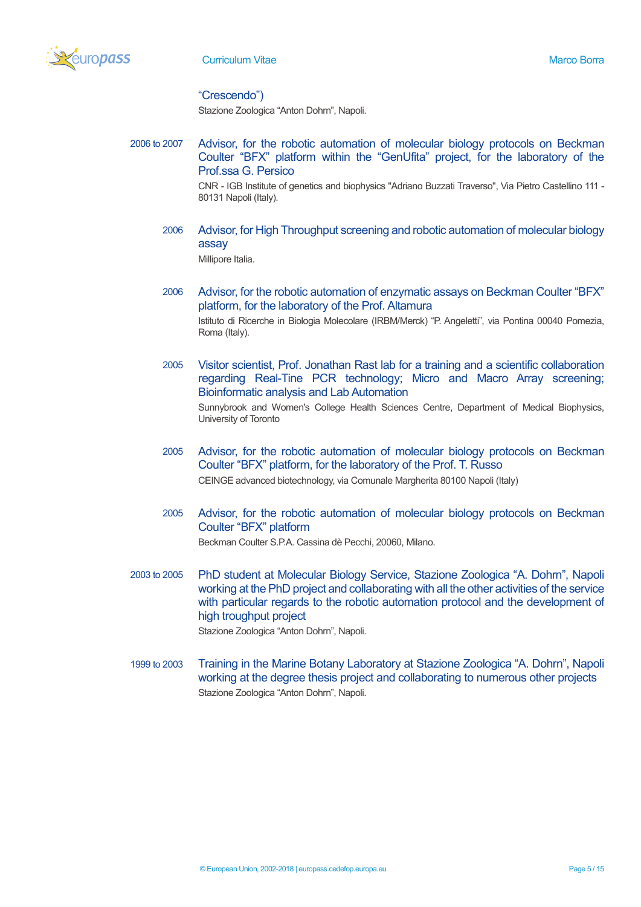

# "Crescendo")

Stazione Zoologica "Anton Dohrn", Napoli.

2006 to 2007 Advisor, for the robotic automation of molecular biology protocols on Beckman Coulter "BFX" platform within the "GenUfita" project, for the laboratory of the Prof.ssa G. Persico

> CNR - IGB Institute of genetics and biophysics "Adriano Buzzati Traverso", Via Pietro Castellino 111 - 80131 Napoli (Italy).

2006 Advisor, for High Throughput screening and robotic automation of molecular biology assay

Millipore Italia.

2006 Advisor, for the robotic automation of enzymatic assays on Beckman Coulter "BFX" platform, for the laboratory of the Prof. Altamura

Istituto di Ricerche in Biologia Molecolare (IRBM/Merck) "P. Angeletti", via Pontina 00040 Pomezia, Roma (Italy).

- 2005 Visitor scientist, Prof. Jonathan Rast lab for a training and a scientific collaboration regarding Real-Tine PCR technology; Micro and Macro Array screening; Bioinformatic analysis and Lab Automation Sunnybrook and Women's College Health Sciences Centre, Department of Medical Biophysics, University of Toronto
- 2005 Advisor, for the robotic automation of molecular biology protocols on Beckman Coulter "BFX" platform, for the laboratory of the Prof. T. Russo CEINGE advanced biotechnology, via Comunale Margherita 80100 Napoli (Italy)
- 2005 Advisor, for the robotic automation of molecular biology protocols on Beckman Coulter "BFX" platform Beckman Coulter S.P.A. Cassina dè Pecchi, 20060, Milano.

2003 to 2005 PhD student at Molecular Biology Service, Stazione Zoologica "A. Dohrn", Napoli working at the PhD project and collaborating with all the other activities of the service with particular regards to the robotic automation protocol and the development of high troughput project Stazione Zoologica "Anton Dohrn", Napoli.

1999 to 2003 Training in the Marine Botany Laboratory at Stazione Zoologica "A. Dohrn", Napoli working at the degree thesis project and collaborating to numerous other projects Stazione Zoologica "Anton Dohrn", Napoli.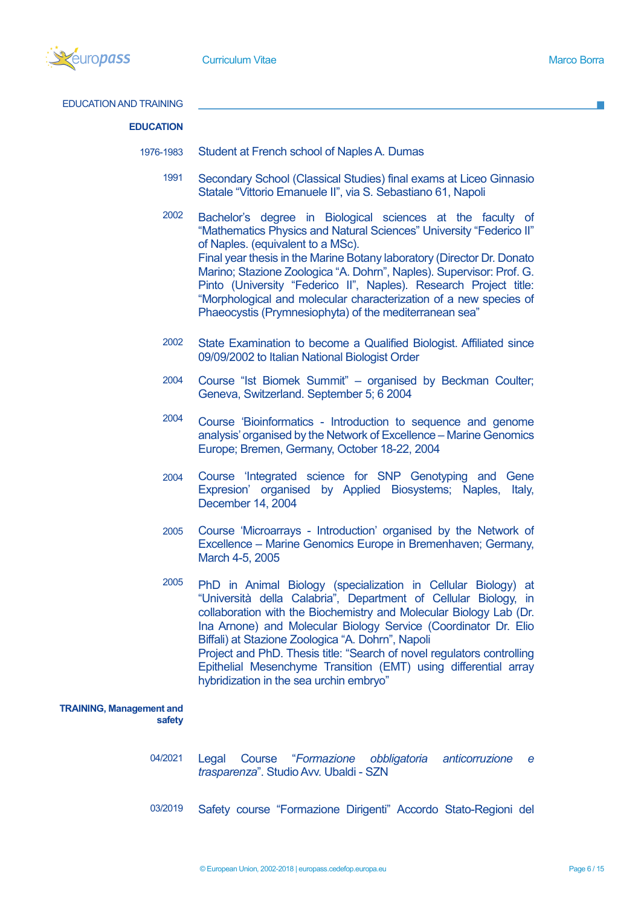

EDUCATION AND TRAINING

# **EDUCATION**

- 1976-1983 Student at French school of Naples A. Dumas
	- 1991 Secondary School (Classical Studies) final exams at Liceo Ginnasio Statale "Vittorio Emanuele II", via S. Sebastiano 61, Napoli
	- 2002 Bachelor's degree in Biological sciences at the faculty of "Mathematics Physics and Natural Sciences" University "Federico II" of Naples. (equivalent to a MSc). Final year thesis in the Marine Botany laboratory (Director Dr. Donato Marino; Stazione Zoologica "A. Dohrn", Naples). Supervisor: Prof. G. Pinto (University "Federico II", Naples). Research Project title: "Morphological and molecular characterization of a new species of Phaeocystis (Prymnesiophyta) of the mediterranean sea"
	- 2002 State Examination to become a Qualified Biologist. Affiliated since 09/09/2002 to Italian National Biologist Order
	- 2004 Course "Ist Biomek Summit" – organised by Beckman Coulter; Geneva, Switzerland. September 5; 6 2004
	- 2004 Course 'Bioinformatics - Introduction to sequence and genome analysis' organised by the Network of Excellence – Marine Genomics Europe; Bremen, Germany, October 18-22, 2004
	- 2004 Course 'Integrated science for SNP Genotyping and Gene Expresion' organised by Applied Biosystems; Naples, Italy, December 14, 2004
	- 2005 Course 'Microarrays - Introduction' organised by the Network of Excellence – Marine Genomics Europe in Bremenhaven; Germany, March 4-5, 2005
	- 2005 PhD in Animal Biology (specialization in Cellular Biology) at "Università della Calabria", Department of Cellular Biology, in collaboration with the Biochemistry and Molecular Biology Lab (Dr. Ina Arnone) and Molecular Biology Service (Coordinator Dr. Elio Biffali) at Stazione Zoologica "A. Dohrn", Napoli Project and PhD. Thesis title: "Search of novel regulators controlling Epithelial Mesenchyme Transition (EMT) using differential array hybridization in the sea urchin embryo"

#### **TRAINING, Management and safety**

- 04/2021 Legal Course "*Formazione obbligatoria anticorruzione e trasparenza*". Studio Avv. Ubaldi - SZN
- 03/2019 Safety course "Formazione Dirigenti" Accordo Stato-Regioni del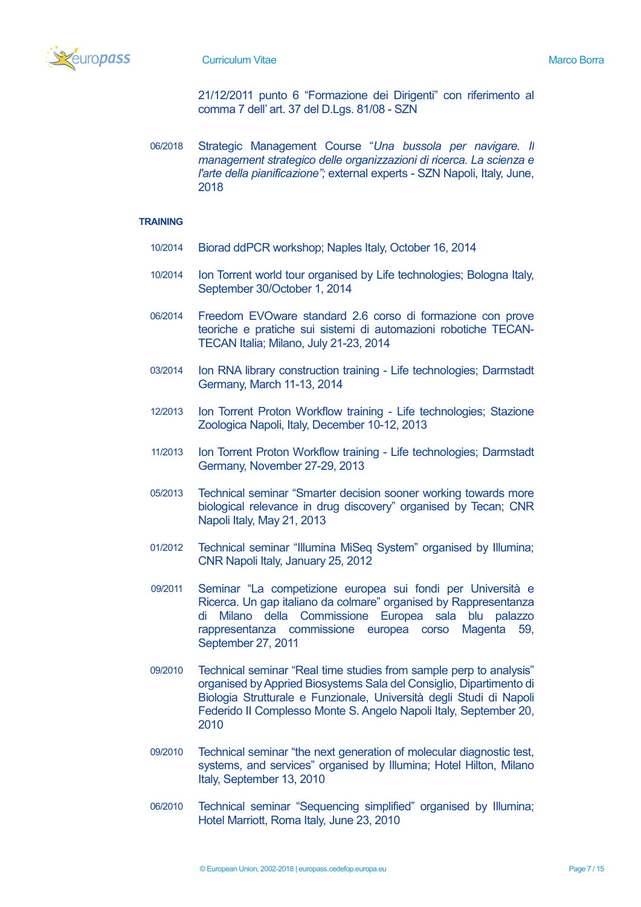

21/12/2011 punto 6 "Formazione dei Dirigenti" con riferimento al comma 7 dell' art. 37 del D.Lgs. 81/08 - SZN

06/2018 Strategic Management Course "*Una bussola per navigare. Il management strategico delle organizzazioni di ricerca. La scienza e l'arte della pianificazione";* external experts - SZN Napoli, Italy, June, 2018

# **TRAINING**

- 10/2014 Biorad ddPCR workshop; Naples Italy, October 16, 2014
- 10/2014 Ion Torrent world tour organised by Life technologies; Bologna Italy, September 30/October 1, 2014
- 06/2014 Freedom EVOware standard 2.6 corso di formazione con prove teoriche e pratiche sui sistemi di automazioni robotiche TECAN-TECAN Italia; Milano, July 21-23, 2014
- 03/2014 Ion RNA library construction training Life technologies; Darmstadt Germany, March 11-13, 2014
- 12/2013 Ion Torrent Proton Workflow training Life technologies; Stazione Zoologica Napoli, Italy, December 10-12, 2013
- 11/2013 Ion Torrent Proton Workflow training Life technologies; Darmstadt Germany, November 27-29, 2013
- 05/2013 Technical seminar "Smarter decision sooner working towards more biological relevance in drug discovery" organised by Tecan; CNR Napoli Italy, May 21, 2013
- 01/2012 Technical seminar "Illumina MiSeq System" organised by Illumina; CNR Napoli Italy, January 25, 2012
- 09/2011 Seminar "La competizione europea sui fondi per Università e Ricerca. Un gap italiano da colmare" organised by Rappresentanza di Milano della Commissione Europea sala blu palazzo rappresentanza commissione europea corso Magenta 59, September 27, 2011
- 09/2010 Technical seminar "Real time studies from sample perp to analysis" organised by Appried Biosystems Sala del Consiglio, Dipartimento di Biologia Strutturale e Funzionale, Università degli Studi di Napoli Federido II Complesso Monte S. Angelo Napoli Italy, September 20, 2010
- 09/2010 Technical seminar "the next generation of molecular diagnostic test, systems, and services" organised by Illumina; Hotel Hilton, Milano Italy, September 13, 2010
- 06/2010 Technical seminar "Sequencing simplified" organised by Illumina; Hotel Marriott, Roma Italy, June 23, 2010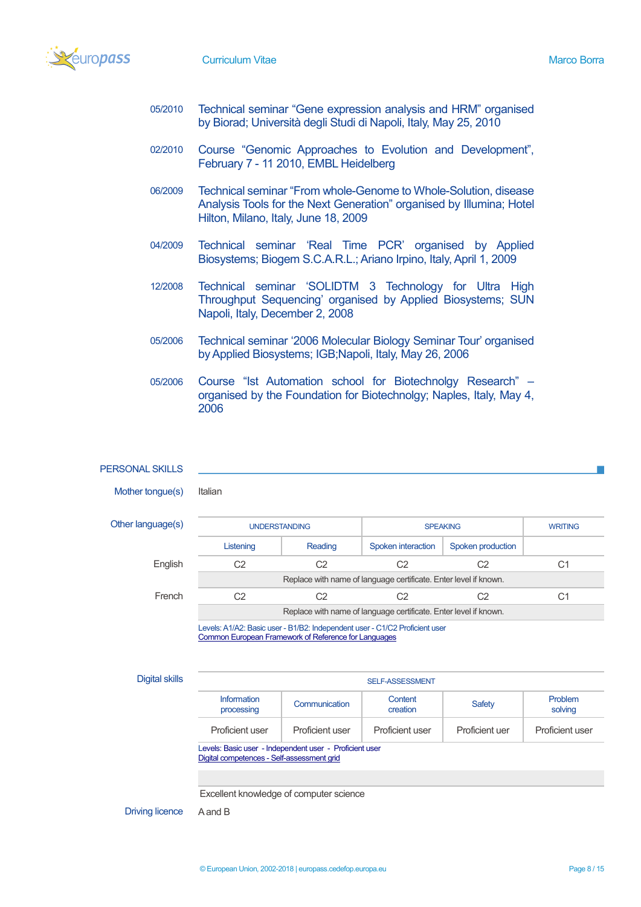

- 05/2010 Technical seminar "Gene expression analysis and HRM" organised by Biorad; Università degli Studi di Napoli, Italy, May 25, 2010
- 02/2010 Course "Genomic Approaches to Evolution and Development", February 7 - 11 2010, EMBL Heidelberg
- 06/2009 Technical seminar "From whole-Genome to Whole-Solution, disease Analysis Tools for the Next Generation" organised by Illumina; Hotel Hilton, Milano, Italy, June 18, 2009
- 04/2009 Technical seminar 'Real Time PCR' organised by Applied Biosystems; Biogem S.C.A.R.L.; Ariano Irpino, Italy, April 1, 2009
- 12/2008 Technical seminar 'SOLIDTM 3 Technology for Ultra High Throughput Sequencing' organised by Applied Biosystems; SUN Napoli, Italy, December 2, 2008
- 05/2006 Technical seminar '2006 Molecular Biology Seminar Tour' organised by Applied Biosystems; IGB;Napoli, Italy, May 26, 2006
- 05/2006 Course "Ist Automation school for Biotechnolgy Research" organised by the Foundation for Biotechnolgy; Naples, Italy, May 4, 2006

#### PERSONAL SKILLS

Mother tongue(s) Italian

Other language

| uage(s) | <b>UNDERSTANDING</b>                                             |         | <b>SPEAKING</b>                                                  |                   | <b>WRITING</b> |  |  |
|---------|------------------------------------------------------------------|---------|------------------------------------------------------------------|-------------------|----------------|--|--|
|         | Listening                                                        | Reading | Spoken interaction                                               | Spoken production |                |  |  |
| English | C2                                                               | C2      | С2                                                               | C2                | C1             |  |  |
|         | Replace with name of language certificate. Enter level if known. |         |                                                                  |                   |                |  |  |
| French  | C2                                                               | C2      | ි2                                                               | C2                | C1             |  |  |
|         |                                                                  |         | Replace with name of language certificate. Enter level if known. |                   |                |  |  |

Levels: A1/A2: Basic user - B1/B2: Independent user - C1/C2 Proficient user [Common European Framework of Reference for Languages](http://europass.cedefop.europa.eu/en/resources/european-language-levels-cefr)

**Digital skills** SELF-ASSESSMENT

| Information<br>processing                               | Communication   | Content<br>creation | Safety         | <b>Problem</b><br>solving |  |  |
|---------------------------------------------------------|-----------------|---------------------|----------------|---------------------------|--|--|
| Proficient user                                         | Proficient user | Proficient user     | Proficient uer | Proficient user           |  |  |
| Levels: Basic user - Independent user - Proficient user |                 |                     |                |                           |  |  |

[Digital competences -](http://europass.cedefop.europa.eu/en/resources/digital-competences) Self-assessment grid

Excellent knowledge of computer science

Driving licence A and B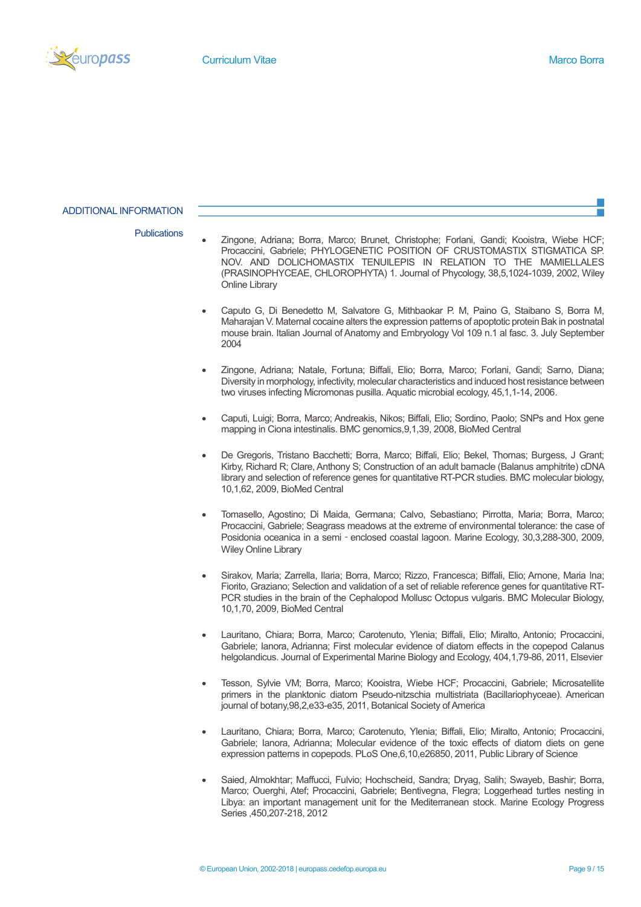

### ADDITIONAL INFORMATION

- Publications Zingone, Adriana; Borra, Marco; Brunet, Christophe; Forlani, Gandi; Kooistra, Wiebe HCF; Procaccini, Gabriele; PHYLOGENETIC POSITION OF CRUSTOMASTIX STIGMATICA SP. NOV. AND DOLICHOMASTIX TENUILEPIS IN RELATION TO THE MAMIELLALES (PRASINOPHYCEAE, CHLOROPHYTA) 1. Journal of Phycology, 38,5,1024-1039, 2002, Wiley Online Library
	- Caputo G, Di Benedetto M, Salvatore G, Mithbaokar P. M, Paino G, Staibano S, Borra M, Maharajan V. Maternal cocaine alters the expression patterns of apoptotic protein Bak in postnatal mouse brain. Italian Journal of Anatomy and Embryology Vol 109 n.1 al fasc. 3. July September 2004
	- Zingone, Adriana; Natale, Fortuna; Biffali, Elio; Borra, Marco; Forlani, Gandi; Sarno, Diana; Diversity in morphology, infectivity, molecular characteristics and induced host resistance between two viruses infecting Micromonas pusilla. Aquatic microbial ecology, 45,1,1-14, 2006.
	- Caputi, Luigi; Borra, Marco; Andreakis, Nikos; Biffali, Elio; Sordino, Paolo; SNPs and Hox gene mapping in Ciona intestinalis. BMC genomics,9,1,39, 2008, BioMed Central
	- De Gregoris, Tristano Bacchetti; Borra, Marco; Biffali, Elio; Bekel, Thomas; Burgess, J Grant; Kirby, Richard R; Clare, Anthony S; Construction of an adult barnacle (Balanus amphitrite) cDNA library and selection of reference genes for quantitative RT-PCR studies. BMC molecular biology, 10,1,62, 2009, BioMed Central
	- Tomasello, Agostino; Di Maida, Germana; Calvo, Sebastiano; Pirrotta, Maria; Borra, Marco; Procaccini, Gabriele; Seagrass meadows at the extreme of environmental tolerance: the case of Posidonia oceanica in a semi - enclosed coastal lagoon. Marine Ecology, 30,3,288-300, 2009, Wiley Online Library
	- Sirakov, Maria; Zarrella, Ilaria; Borra, Marco; Rizzo, Francesca; Biffali, Elio; Arnone, Maria Ina; Fiorito, Graziano; Selection and validation of a set of reliable reference genes for quantitative RT-PCR studies in the brain of the Cephalopod Mollusc Octopus vulgaris. BMC Molecular Biology, 10,1,70, 2009, BioMed Central
	- Lauritano, Chiara; Borra, Marco; Carotenuto, Ylenia; Biffali, Elio; Miralto, Antonio; Procaccini, Gabriele; Ianora, Adrianna; First molecular evidence of diatom effects in the copepod Calanus helgolandicus. Journal of Experimental Marine Biology and Ecology, 404,1,79-86, 2011, Elsevier
	- Tesson, Sylvie VM; Borra, Marco; Kooistra, Wiebe HCF; Procaccini, Gabriele; Microsatellite primers in the planktonic diatom Pseudo-nitzschia multistriata (Bacillariophyceae). American journal of botany,98,2,e33-e35, 2011, Botanical Society of America
	- Lauritano, Chiara; Borra, Marco; Carotenuto, Ylenia; Biffali, Elio; Miralto, Antonio; Procaccini, Gabriele; Ianora, Adrianna; Molecular evidence of the toxic effects of diatom diets on gene expression patterns in copepods. PLoS One,6,10,e26850, 2011, Public Library of Science
	- Saied, Almokhtar; Maffucci, Fulvio; Hochscheid, Sandra; Dryag, Salih; Swayeb, Bashir; Borra, Marco; Ouerghi, Atef; Procaccini, Gabriele; Bentivegna, Flegra; Loggerhead turtles nesting in Libya: an important management unit for the Mediterranean stock. Marine Ecology Progress Series ,450,207-218, 2012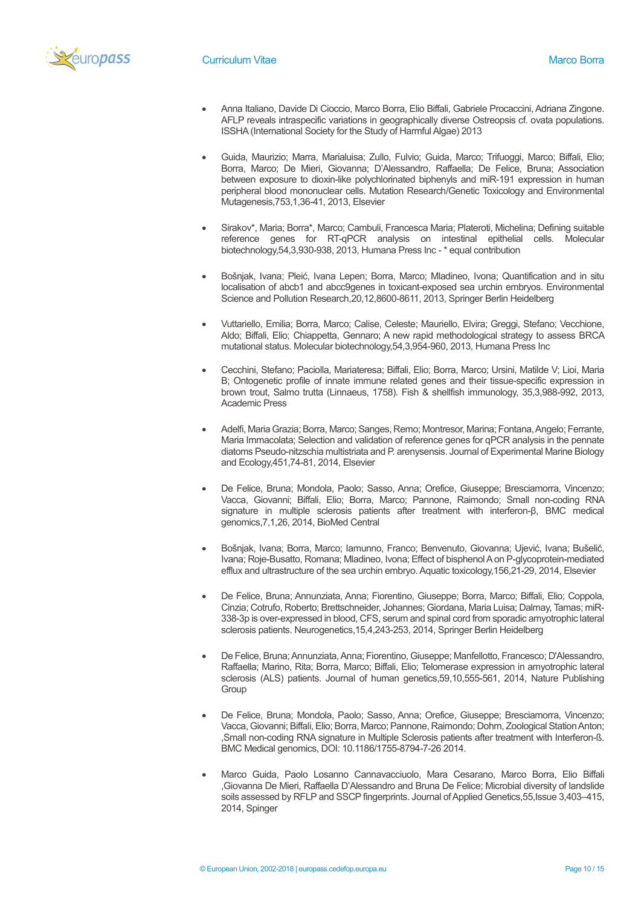

- Anna Italiano, Davide Di Cioccio, Marco Borra, Elio Biffali, Gabriele Procaccini, Adriana Zingone. AFLP reveals intraspecific variations in geographically diverse Ostreopsis cf. ovata populations. ISSHA (International Society for the Study of Harmful Algae) 2013
- Guida, Maurizio; Marra, Marialuisa; Zullo, Fulvio; Guida, Marco; Trifuoggi, Marco; Biffali, Elio; Borra, Marco; De Mieri, Giovanna; D'Alessandro, Raffaella; De Felice, Bruna; Association between exposure to dioxin-like polychlorinated biphenyls and miR-191 expression in human peripheral blood mononuclear cells. Mutation Research/Genetic Toxicology and Environmental Mutagenesis,753,1,36-41, 2013, Elsevier
- Sirakov\*, Maria; Borra\*, Marco; Cambuli, Francesca Maria; Plateroti, Michelina; Defining suitable reference genes for RT-qPCR analysis on intestinal epithelial cells. Molecular biotechnology,54,3,930-938, 2013, Humana Press Inc - \* equal contribution
- Bošnjak, Ivana; Pleić, Ivana Lepen; Borra, Marco; Mladineo, Ivona; Quantification and in situ localisation of abcb1 and abcc9genes in toxicant-exposed sea urchin embryos. Environmental Science and Pollution Research,20,12,8600-8611, 2013, Springer Berlin Heidelberg
- Vuttariello, Emilia; Borra, Marco; Calise, Celeste; Mauriello, Elvira; Greggi, Stefano; Vecchione, Aldo; Biffali, Elio; Chiappetta, Gennaro; A new rapid methodological strategy to assess BRCA mutational status. Molecular biotechnology,54,3,954-960, 2013, Humana Press Inc
- Cecchini, Stefano; Paciolla, Mariateresa; Biffali, Elio; Borra, Marco; Ursini, Matilde V; Lioi, Maria B; Ontogenetic profile of innate immune related genes and their tissue-specific expression in brown trout, Salmo trutta (Linnaeus, 1758). Fish & shellfish immunology, 35,3,988-992, 2013, Academic Press
- Adelfi, Maria Grazia; Borra, Marco; Sanges, Remo; Montresor, Marina; Fontana, Angelo; Ferrante, Maria Immacolata; Selection and validation of reference genes for qPCR analysis in the pennate diatoms Pseudo-nitzschia multistriata and P. arenysensis. Journal of Experimental Marine Biology and Ecology,451,74-81, 2014, Elsevier
- De Felice, Bruna; Mondola, Paolo; Sasso, Anna; Orefice, Giuseppe; Bresciamorra, Vincenzo; Vacca, Giovanni; Biffali, Elio; Borra, Marco; Pannone, Raimondo; Small non-coding RNA signature in multiple sclerosis patients after treatment with interferon-β, BMC medical genomics,7,1,26, 2014, BioMed Central
- Bošnjak, Ivana; Borra, Marco; Iamunno, Franco; Benvenuto, Giovanna; Ujević, Ivana; Bušelić, Ivana; Roje-Busatto, Romana; Mladineo, Ivona; Effect of bisphenol A on P-glycoprotein-mediated efflux and ultrastructure of the sea urchin embryo. Aquatic toxicology,156,21-29, 2014, Elsevier
- De Felice, Bruna; Annunziata, Anna; Fiorentino, Giuseppe; Borra, Marco; Biffali, Elio; Coppola, Cinzia; Cotrufo, Roberto; Brettschneider, Johannes; Giordana, Maria Luisa; Dalmay, Tamas; miR-338-3p is over-expressed in blood, CFS, serum and spinal cord from sporadic amyotrophic lateral sclerosis patients. Neurogenetics,15,4,243-253, 2014, Springer Berlin Heidelberg
- De Felice, Bruna; Annunziata, Anna; Fiorentino, Giuseppe; Manfellotto, Francesco; D'Alessandro, Raffaella; Marino, Rita; Borra, Marco; Biffali, Elio; Telomerase expression in amyotrophic lateral sclerosis (ALS) patients. Journal of human genetics,59,10,555-561, 2014, Nature Publishing **Group**
- De Felice, Bruna; Mondola, Paolo; Sasso, Anna; Orefice, Giuseppe; Bresciamorra, Vincenzo; Vacca, Giovanni; Biffali, Elio; Borra, Marco; Pannone, Raimondo; Dohrn, Zoological Station Anton; ,Small non-coding RNA signature in Multiple Sclerosis patients after treatment with Interferon-ß. BMC Medical genomics, DOI: 10.1186/1755-8794-7-26 2014.
- Marco Guida, Paolo Losanno Cannavacciuolo, Mara Cesarano, Marco Borra, Elio Biffali ,Giovanna De Mieri, Raffaella D'Alessandro and Bruna De Felice; Microbial diversity of landslide soils assessed by RFLP and SSCP fingerprints. Journal of Applied Genetics,55,Issue 3,403–415, 2014, Spinger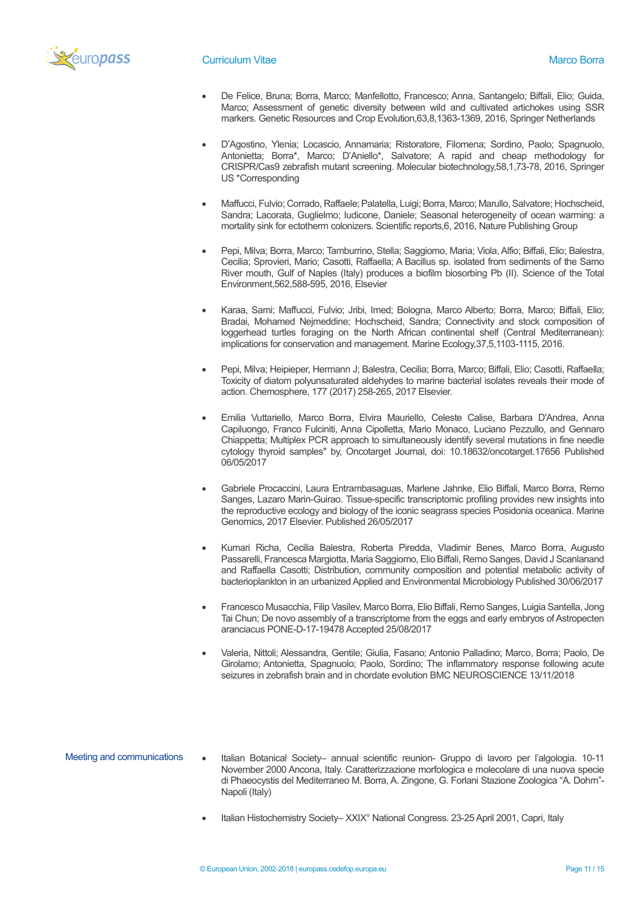

- De Felice, Bruna; Borra, Marco; Manfellotto, Francesco; Anna, Santangelo; Biffali, Elio; Guida, Marco; Assessment of genetic diversity between wild and cultivated artichokes using SSR markers. Genetic Resources and Crop Evolution,63,8,1363-1369, 2016, Springer Netherlands
- D'Agostino, Ylenia; Locascio, Annamaria; Ristoratore, Filomena; Sordino, Paolo; Spagnuolo, Antonietta; Borra\*, Marco; D'Aniello\*, Salvatore; A rapid and cheap methodology for CRISPR/Cas9 zebrafish mutant screening. Molecular biotechnology,58,1,73-78, 2016, Springer US \*Corresponding
- Maffucci, Fulvio; Corrado, Raffaele; Palatella, Luigi; Borra, Marco; Marullo, Salvatore; Hochscheid, Sandra; Lacorata, Guglielmo; Iudicone, Daniele; Seasonal heterogeneity of ocean warming: a mortality sink for ectotherm colonizers. Scientific reports,6, 2016, Nature Publishing Group
- Pepi, Milva; Borra, Marco; Tamburrino, Stella; Saggiomo, Maria; Viola, Alfio; Biffali, Elio; Balestra, Cecilia; Sprovieri, Mario; Casotti, Raffaella; A Bacillus sp. isolated from sediments of the Sarno River mouth, Gulf of Naples (Italy) produces a biofilm biosorbing Pb (II). Science of the Total Environment,562,588-595, 2016, Elsevier
- Karaa, Sami; Maffucci, Fulvio; Jribi, Imed; Bologna, Marco Alberto; Borra, Marco; Biffali, Elio; Bradai, Mohamed Nejmeddine; Hochscheid, Sandra; Connectivity and stock composition of loggerhead turtles foraging on the North African continental shelf (Central Mediterranean): implications for conservation and management. Marine Ecology,37,5,1103-1115, 2016.
- Pepi, Milva; Heipieper, Hermann J; Balestra, Cecilia; Borra, Marco; Biffali, Elio; Casotti, Raffaella; Toxicity of diatom polyunsaturated aldehydes to marine bacterial isolates reveals their mode of action. Chemosphere, 177 (2017) 258-265, 2017 Elsevier.
- Emilia Vuttariello, Marco Borra, Elvira Mauriello, Celeste Calise, Barbara D'Andrea, Anna Capiluongo, Franco Fulciniti, Anna Cipolletta, Mario Monaco, Luciano Pezzullo, and Gennaro Chiappetta; Multiplex PCR approach to simultaneously identify several mutations in fine needle cytology thyroid samples" by, Oncotarget Journal, doi: 10.18632/oncotarget.17656 Published 06/05/2017
- Gabriele Procaccini, Laura Entrambasaguas, Marlene Jahnke, Elio Biffali, Marco Borra, Remo Sanges, Lazaro Marin-Guirao. Tissue-specific transcriptomic profiling provides new insights into the reproductive ecology and biology of the iconic seagrass species Posidonia oceanica. Marine Genomics, 2017 Elsevier. Published 26/05/2017
- Kumari Richa, Cecilia Balestra, Roberta Piredda, Vladimir Benes, Marco Borra, Augusto Passarelli, Francesca Margiotta, Maria Saggiomo, Elio Biffali, Remo Sanges, David J Scanlanand and Raffaella Casotti; Distribution, community composition and potential metabolic activity of bacterioplankton in an urbanized Applied and Environmental Microbiology Published 30/06/2017
- Francesco Musacchia, Filip Vasilev, Marco Borra, Elio Biffali, Remo Sanges, Luigia Santella, Jong Tai Chun; De novo assembly of a transcriptome from the eggs and early embryos of Astropecten aranciacus PONE-D-17-19478 Accepted 25/08/2017
- Valeria, Nittoli; Alessandra, Gentile; Giulia, Fasano; Antonio Palladino; Marco, Borra; Paolo, De Girolamo; Antonietta, Spagnuolo; Paolo, Sordino; The inflammatory response following acute seizures in zebrafish brain and in chordate evolution BMC NEUROSCIENCE 13/11/2018
- Meeting and communications Italian Botanical Society– annual scientific reunion- Gruppo di lavoro per l'algologia. 10-11 November 2000 Ancona, Italy. Caratterizzazione morfologica e molecolare di una nuova specie di Phaeocystis del Mediterraneo M. Borra, A. Zingone, G. Forlani Stazione Zoologica "A. Dohrn"- Napoli (Italy)
	- Italian Histochemistry Society– XXIX° National Congress. 23-25April 2001, Capri, Italy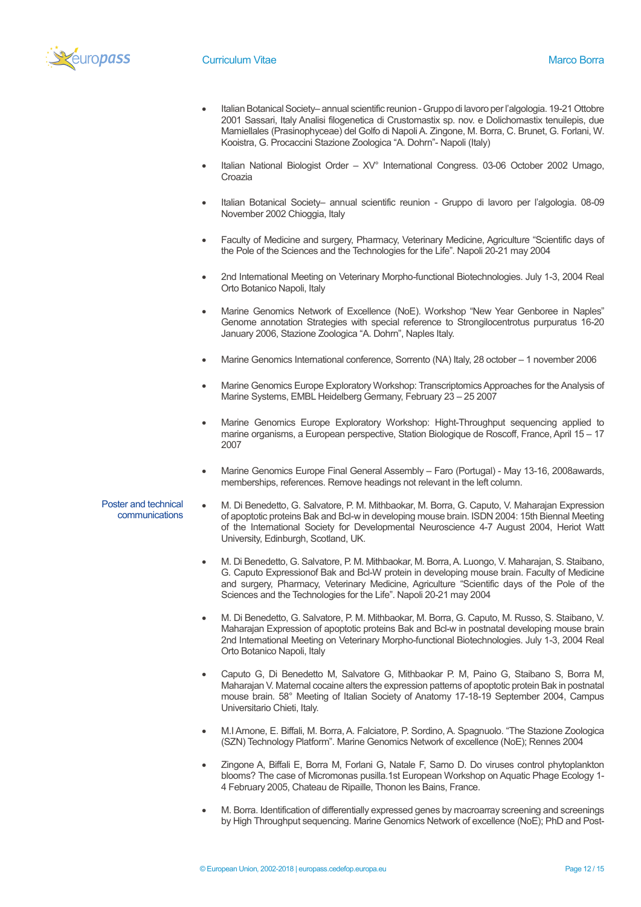

- Italian Botanical Society– annual scientific reunion Gruppo di lavoro per l'algologia. 19-21 Ottobre 2001 Sassari, Italy Analisi filogenetica di Crustomastix sp. nov. e Dolichomastix tenuilepis, due Mamiellales (Prasinophyceae) del Golfo di Napoli A. Zingone, M. Borra, C. Brunet, G. Forlani, W. Kooistra, G. Procaccini Stazione Zoologica "A. Dohrn"- Napoli (Italy)
- Italian National Biologist Order XV° International Congress. 03-06 October 2002 Umago, Croazia
- Italian Botanical Society– annual scientific reunion Gruppo di lavoro per l'algologia. 08-09 November 2002 Chioggia, Italy
- Faculty of Medicine and surgery, Pharmacy, Veterinary Medicine, Agriculture "Scientific days of the Pole of the Sciences and the Technologies for the Life". Napoli 20-21 may 2004
- 2nd International Meeting on Veterinary Morpho-functional Biotechnologies. July 1-3, 2004 Real Orto Botanico Napoli, Italy
- Marine Genomics Network of Excellence (NoE). Workshop "New Year Genboree in Naples" Genome annotation Strategies with special reference to Strongilocentrotus purpuratus 16-20 January 2006, Stazione Zoologica "A. Dohrn", Naples Italy.
- Marine Genomics International conference, Sorrento (NA) Italy, 28 october 1 november 2006
- Marine Genomics Europe Exploratory Workshop: Transcriptomics Approaches for the Analysis of Marine Systems, EMBL Heidelberg Germany, February 23 – 25 2007
- Marine Genomics Europe Exploratory Workshop: Hight-Throughput sequencing applied to marine organisms, a European perspective, Station Biologique de Roscoff, France, April 15 – 17 2007
- Marine Genomics Europe Final General Assembly Faro (Portugal) May 13-16, 2008awards, memberships, references. Remove headings not relevant in the left column.
- Poster and technical communications • M. Di Benedetto, G. Salvatore, P. M. Mithbaokar, M. Borra, G. Caputo, V. Maharajan Expression of apoptotic proteins Bak and Bcl-w in developing mouse brain. ISDN 2004: 15th Biennal Meeting of the International Society for Developmental Neuroscience 4-7 August 2004, Heriot Watt University, Edinburgh, Scotland, UK.
	- M. Di Benedetto, G. Salvatore, P. M. Mithbaokar, M. Borra, A. Luongo, V. Maharajan, S. Staibano, G. Caputo Expressionof Bak and Bcl-W protein in developing mouse brain. Faculty of Medicine and surgery, Pharmacy, Veterinary Medicine, Agriculture "Scientific days of the Pole of the Sciences and the Technologies for the Life". Napoli 20-21 may 2004
	- M. Di Benedetto, G. Salvatore, P. M. Mithbaokar, M. Borra, G. Caputo, M. Russo, S. Staibano, V. Maharajan Expression of apoptotic proteins Bak and Bcl-w in postnatal developing mouse brain 2nd International Meeting on Veterinary Morpho-functional Biotechnologies. July 1-3, 2004 Real Orto Botanico Napoli, Italy
	- Caputo G, Di Benedetto M, Salvatore G, Mithbaokar P. M, Paino G, Staibano S, Borra M, Maharajan V. Maternal cocaine alters the expression patterns of apoptotic protein Bak in postnatal mouse brain. 58° Meeting of Italian Society of Anatomy 17-18-19 September 2004, Campus Universitario Chieti, Italy.
	- M.I Arnone, E. Biffali, M. Borra, A. Falciatore, P. Sordino, A. Spagnuolo. "The Stazione Zoologica (SZN) Technology Platform". Marine Genomics Network of excellence (NoE); Rennes 2004
	- Zingone A, Biffali E, Borra M, Forlani G, Natale F, Sarno D. Do viruses control phytoplankton blooms? The case of Micromonas pusilla.1st European Workshop on Aquatic Phage Ecology 1- 4 February 2005, Chateau de Ripaille, Thonon les Bains, France.
	- M. Borra. Identification of differentially expressed genes by macroarray screening and screenings by High Throughput sequencing. Marine Genomics Network of excellence (NoE); PhD and Post-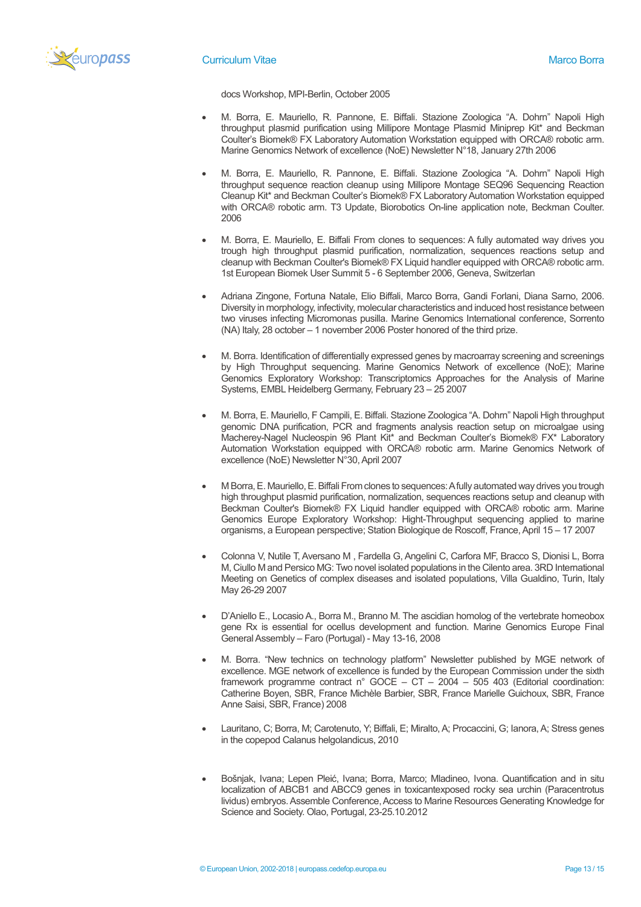

### **Curriculum Vitae Marco Borra** Marco Borra Marco Borra Marco Borra Marco Borra Marco Borra Marco Borra Marco Borra

docs Workshop, MPI-Berlin, October 2005

- M. Borra, E. Mauriello, R. Pannone, E. Biffali. Stazione Zoologica "A. Dohrn" Napoli High throughput plasmid purification using Millipore Montage Plasmid Miniprep Kit\* and Beckman Coulter's Biomek® FX Laboratory Automation Workstation equipped with ORCA® robotic arm. Marine Genomics Network of excellence (NoE) Newsletter N°18, January 27th 2006
- M. Borra, E. Mauriello, R. Pannone, E. Biffali. Stazione Zoologica "A. Dohrn" Napoli High throughput sequence reaction cleanup using Millipore Montage SEQ96 Sequencing Reaction Cleanup Kit\* and Beckman Coulter's Biomek® FX Laboratory Automation Workstation equipped with ORCA® robotic arm. T3 Update, Biorobotics On-line application note, Beckman Coulter. 2006
- M. Borra, E. Mauriello, E. Biffali From clones to sequences: A fully automated way drives you trough high throughput plasmid purification, normalization, sequences reactions setup and cleanup with Beckman Coulter's Biomek® FX Liquid handler equipped with ORCA® robotic arm. 1st European Biomek User Summit 5 - 6 September 2006, Geneva, Switzerlan
- Adriana Zingone, Fortuna Natale, Elio Biffali, Marco Borra, Gandi Forlani, Diana Sarno, 2006. Diversity in morphology, infectivity, molecular characteristics and induced host resistance between two viruses infecting Micromonas pusilla. Marine Genomics International conference, Sorrento (NA) Italy, 28 october – 1 november 2006 Poster honored of the third prize.
- M. Borra. Identification of differentially expressed genes by macroarray screening and screenings by High Throughput sequencing. Marine Genomics Network of excellence (NoE); Marine Genomics Exploratory Workshop: Transcriptomics Approaches for the Analysis of Marine Systems, EMBL Heidelberg Germany, February 23 – 25 2007
- M. Borra, E. Mauriello, F Campili, E. Biffali. Stazione Zoologica "A. Dohrn" Napoli High throughput genomic DNA purification, PCR and fragments analysis reaction setup on microalgae using Macherey-Nagel Nucleospin 96 Plant Kit\* and Beckman Coulter's Biomek® FX\* Laboratory Automation Workstation equipped with ORCA® robotic arm. Marine Genomics Network of excellence (NoE) Newsletter N°30, April 2007
- M Borra, E. Mauriello, E. Biffali From clones to sequences: A fully automated way drives you trough high throughput plasmid purification, normalization, sequences reactions setup and cleanup with Beckman Coulter's Biomek® FX Liquid handler equipped with ORCA® robotic arm. Marine Genomics Europe Exploratory Workshop: Hight-Throughput sequencing applied to marine organisms, a European perspective; Station Biologique de Roscoff, France, April 15 – 17 2007
- Colonna V, Nutile T, Aversano M , Fardella G, Angelini C, Carfora MF, Bracco S, Dionisi L, Borra M, Ciullo M and Persico MG: Two novel isolated populations in the Cilento area. 3RD International Meeting on Genetics of complex diseases and isolated populations, Villa Gualdino, Turin, Italy May 26-29 2007
- D'Aniello E., Locasio A., Borra M., Branno M. The ascidian homolog of the vertebrate homeobox gene Rx is essential for ocellus development and function. Marine Genomics Europe Final General Assembly – Faro (Portugal) - May 13-16, 2008
- M. Borra. "New technics on technology platform" Newsletter published by MGE network of excellence. MGE network of excellence is funded by the European Commission under the sixth framework programme contract n° GOCE – CT – 2004 – 505 403 (Editorial coordination: Catherine Boyen, SBR, France Michèle Barbier, SBR, France Marielle Guichoux, SBR, France Anne Saisi, SBR, France) 2008
- Lauritano, C; Borra, M; Carotenuto, Y; Biffali, E; Miralto, A; Procaccini, G; Ianora, A; Stress genes in the copepod Calanus helgolandicus, 2010
- Bošnjak, Ivana; Lepen Pleić, Ivana; Borra, Marco; Mladineo, Ivona. Quantification and in situ localization of ABCB1 and ABCC9 genes in toxicantexposed rocky sea urchin (Paracentrotus lividus) embryos. Assemble Conference, Access to Marine Resources Generating Knowledge for Science and Society. Olao, Portugal, 23-25.10.2012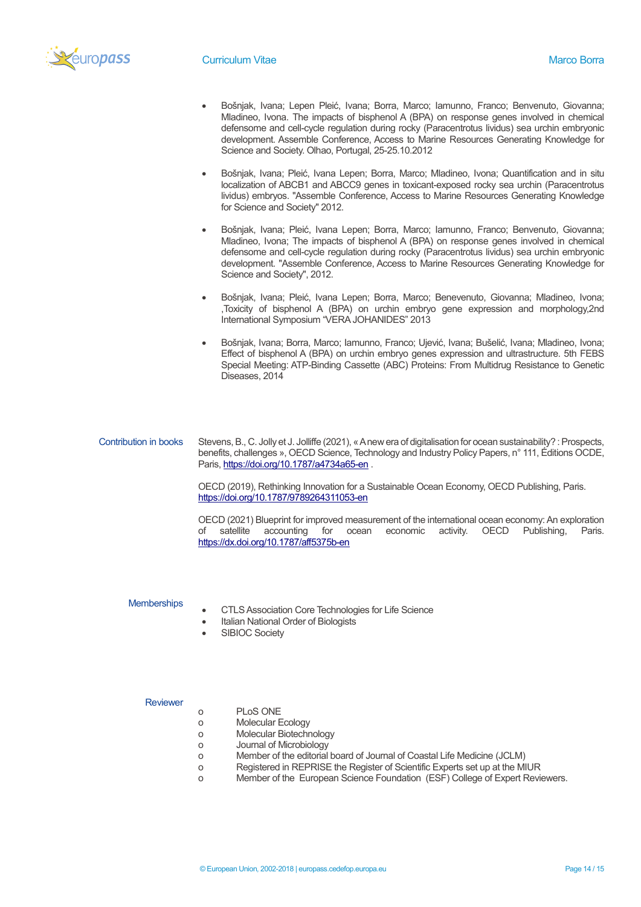

- Bošnjak, Ivana; Lepen Pleić, Ivana; Borra, Marco; Iamunno, Franco; Benvenuto, Giovanna; Mladineo, Ivona. The impacts of bisphenol A (BPA) on response genes involved in chemical defensome and cell-cycle regulation during rocky (Paracentrotus lividus) sea urchin embryonic development. Assemble Conference, Access to Marine Resources Generating Knowledge for Science and Society. Olhao, Portugal, 25-25.10.2012
- Bošnjak, Ivana; Pleić, Ivana Lepen; Borra, Marco; Mladineo, Ivona; Quantification and in situ localization of ABCB1 and ABCC9 genes in toxicant-exposed rocky sea urchin (Paracentrotus lividus) embryos. "Assemble Conference, Access to Marine Resources Generating Knowledge for Science and Society" 2012.
- Bošnjak, Ivana; Pleić, Ivana Lepen; Borra, Marco; Iamunno, Franco; Benvenuto, Giovanna; Mladineo, Ivona; The impacts of bisphenol A (BPA) on response genes involved in chemical defensome and cell-cycle regulation during rocky (Paracentrotus lividus) sea urchin embryonic development. "Assemble Conference, Access to Marine Resources Generating Knowledge for Science and Society", 2012.
- Bošnjak, Ivana; Pleić, Ivana Lepen; Borra, Marco; Benevenuto, Giovanna; Mladineo, Ivona; ,Toxicity of bisphenol A (BPA) on urchin embryo gene expression and morphology,2nd International Symposium "VERA JOHANIDES" 2013
- Bošnjak, Ivana; Borra, Marco; Iamunno, Franco; Ujević, Ivana; Bušelić, Ivana; Mladineo, Ivona; Effect of bisphenol A (BPA) on urchin embryo genes expression and ultrastructure. 5th FEBS Special Meeting: ATP-Binding Cassette (ABC) Proteins: From Multidrug Resistance to Genetic Diseases, 2014

#### Contribution in books Stevens, B., C. Jolly et J. Jolliffe (2021), « A new era of digitalisation for ocean sustainability? : Prospects, benefits, challenges », OECD Science, Technology and Industry Policy Papers, n° 111, Éditions OCDE, Paris[, https://doi.org/10.1787/a4734a65-en](https://doi.org/10.1787/a4734a65-en).

OECD (2019), Rethinking Innovation for a Sustainable Ocean Economy, OECD Publishing, Paris. <https://doi.org/10.1787/9789264311053-en>

OECD (2021) Blueprint for improved measurement of the international ocean economy: An exploration of satellite accounting for ocean economic activity. OECD Publishing, Paris. <https://dx.doi.org/10.1787/aff5375b-en>

#### **Memberships**

- CTLS Association Core Technologies for Life Science
- Italian National Order of Biologists
- SIBIOC Society

## **Reviewer**

- o PLoS ONE
- o Molecular Ecology
- o Molecular Biotechnology
- o Journal of Microbiology
- o Member of the editorial board of Journal of Coastal Life Medicine (JCLM)
- o Registered in REPRISE the Register of Scientific Experts set up at the MIUR
- o Member of the European Science Foundation (ESF) College of Expert Reviewers.